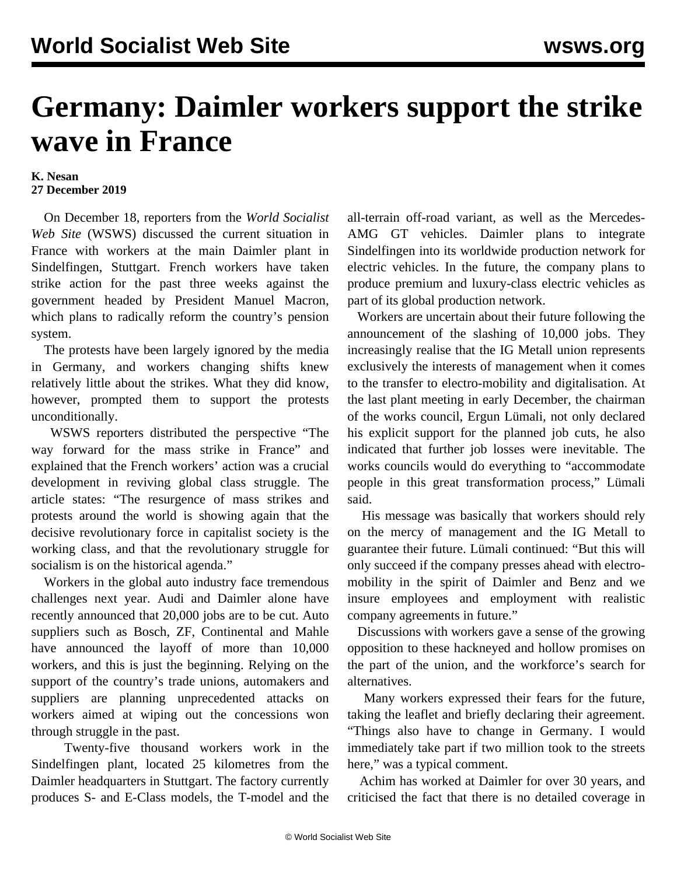## **Germany: Daimler workers support the strike wave in France**

## **K. Nesan 27 December 2019**

 On December 18, reporters from the *World Socialist Web Site* (WSWS) discussed the current situation in France with workers at the main Daimler plant in Sindelfingen, Stuttgart. French workers have taken strike action for the past three weeks against the government headed by President Manuel Macron, which plans to radically reform the country's pension system.

 The protests have been largely ignored by the media in Germany, and workers changing shifts knew relatively little about the strikes. What they did know, however, prompted them to support the protests unconditionally.

 WSWS reporters distributed the perspective "[The](/en/articles/2019/12/07/pers-d07.html) [way forward for the mass strike in France"](/en/articles/2019/12/07/pers-d07.html) and explained that the French workers' action was a crucial development in reviving global class struggle. The article states: "The resurgence of mass strikes and protests around the world is showing again that the decisive revolutionary force in capitalist society is the working class, and that the revolutionary struggle for socialism is on the historical agenda."

 Workers in the global auto industry face tremendous challenges next year. Audi and Daimler alone have recently announced that 20,000 jobs are to be cut. Auto suppliers such as Bosch, ZF, Continental and Mahle have announced the layoff of more than 10,000 workers, and this is just the beginning. Relying on the support of the country's trade unions, automakers and suppliers are planning unprecedented attacks on workers aimed at wiping out the concessions won through struggle in the past.

 Twenty-five thousand workers work in the Sindelfingen plant, located 25 kilometres from the Daimler headquarters in Stuttgart. The factory currently produces S- and E-Class models, the T-model and the all-terrain off-road variant, as well as the Mercedes-AMG GT vehicles. Daimler plans to integrate Sindelfingen into its worldwide production network for electric vehicles. In the future, the company plans to produce premium and luxury-class electric vehicles as part of its global production network.

 Workers are uncertain about their future following the announcement of the slashing of 10,000 jobs. They increasingly realise that the IG Metall union represents exclusively the interests of management when it comes to the transfer to electro-mobility and digitalisation. At the last plant meeting in early December, the chairman of the works council, Ergun Lümali, not only declared his explicit support for the planned job cuts, he also indicated that further job losses were inevitable. The works councils would do everything to "accommodate people in this great transformation process," Lümali said.

 His message was basically that workers should rely on the mercy of management and the IG Metall to guarantee their future. Lümali continued: "But this will only succeed if the company presses ahead with electromobility in the spirit of Daimler and Benz and we insure employees and employment with realistic company agreements in future."

 Discussions with workers gave a sense of the growing opposition to these hackneyed and hollow promises on the part of the union, and the workforce's search for alternatives.

 Many workers expressed their fears for the future, taking the leaflet and briefly declaring their agreement. "Things also have to change in Germany. I would immediately take part if two million took to the streets here," was a typical comment.

 Achim has worked at Daimler for over 30 years, and criticised the fact that there is no detailed coverage in